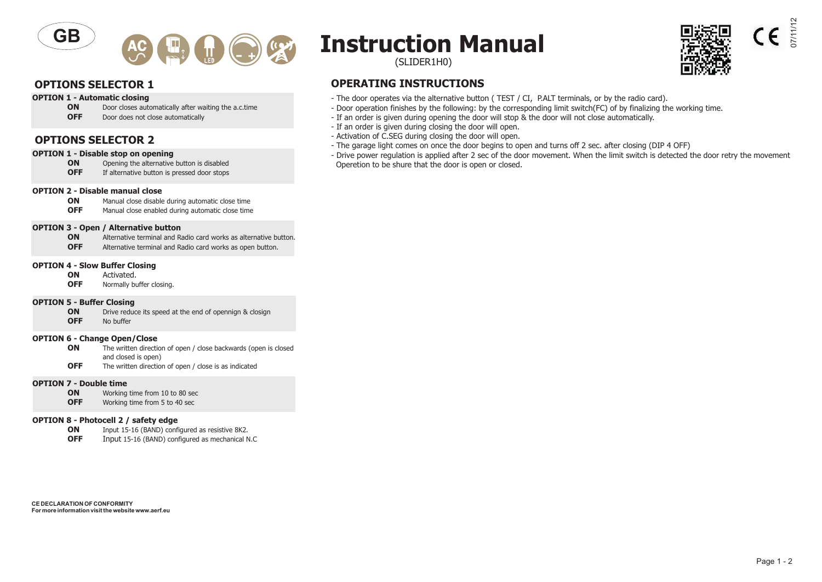



### **OPTION 1 - Automatic closing**<br>**ON** Door closes auto

- **ON** Door closes automatically after waiting the a.c.time
- Door does not close automatically

#### **OPTIONS SELECTOR 2**

### **OPTION 1 - Disable stop on opening<br>ON** Opening the alternative

- **ON** Opening the alternative button is disabled<br>**OFF** If alternative button is pressed door stops
- If alternative button is pressed door stops

#### **OPTION 2 - Disable manual close**

**ON** Manual close disable during automatic close time<br>**OFF** Manual close enabled during automatic close time

Manual close enabled during automatic close time

#### **OPTION 3 - Open / Alternative button**

**ON** Alternative terminal and Radio card works as alternative button.

**OFF** Alternative terminal and Radio card works as open button.

## **OPTION 4 - Slow Buffer Closing**<br>**ON** Activated

- **ON** Activated.<br>**OFF** Normally by
- Normally buffer closing.

### **OPTION 5 - Buffer Closing**<br>**ON** Drive redue

**ON** Drive reduce its speed at the end of opennign & closign **OFF** No buffer **No buffer** 

#### **OPTION 6 - Change Open/Close**

- **ON** The written direction of open / close backwards (open is closed and closed is open)
- **OFF** The written direction of open / close is as indicated

#### **OPTION 7 - Double time**

- **ON** Working time from 10 to 80 sec<br>**OFF** Working time from 5 to 40 sec
- Working time from 5 to 40 sec

#### **OPTION 8 - Photocell 2 / safety edge**

- **ON** Input 15-16 (BAND) configured as resistive 8K2.
- **OFF** Input 15-16 (BAND) configured as mechanical N.C

# **Instruction Manual**

(SLIDER1H0)

#### **OPTIONS SELECTOR 1 OPERATING INSTRUCTIONS**

- The door operates via the alternative button ( TEST / CI, P.ALT terminals, or by the radio card).
- Door operation finishes by the following: by the corresponding limit switch(FC) of by finalizing the working time.
- If an order is given during opening the door will stop & the door will not close automatically.
- If an order is given during closing the door will open.
- Activation of C.SEG during closing the door will open.
- The garage light comes on once the door begins to open and turns off 2 sec. after closing (DIP 4 OFF)
- Drive power regulation is applied after 2 sec of the door movement. When the limit switch is detected the door retry the movement Operetion to be shure that the door is open or closed.